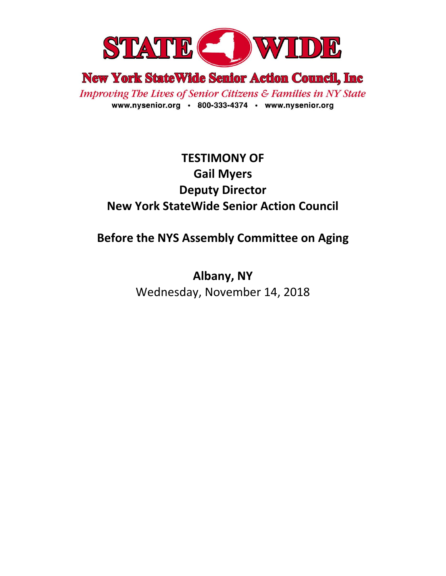

**New York StateWide Senior Action Council, Inc.** 

**Improving The Lives of Senior Citizens & Families in NY State** www.nysenior.org · 800-333-4374 · www.nysenior.org

# **TESTIMONY OF Gail Myers Deputy Director New York StateWide Senior Action Council**

## **Before the NYS Assembly Committee on Aging**

**Albany, NY** Wednesday, November 14, 2018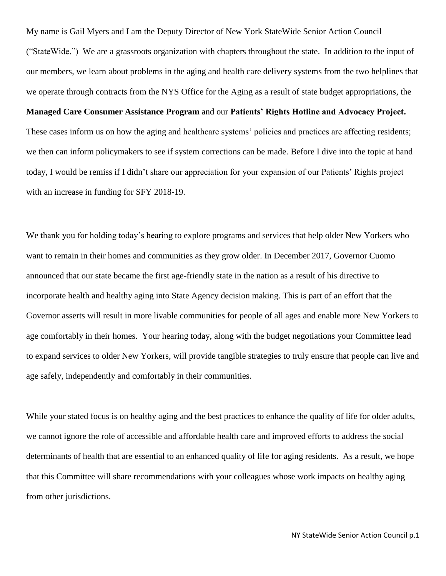My name is Gail Myers and I am the Deputy Director of New York StateWide Senior Action Council ("StateWide.") We are a grassroots organization with chapters throughout the state. In addition to the input of our members, we learn about problems in the aging and health care delivery systems from the two helplines that we operate through contracts from the NYS Office for the Aging as a result of state budget appropriations, the

#### **Managed Care Consumer Assistance Program** and our **Patients' Rights Hotline and Advocacy Project.**

These cases inform us on how the aging and healthcare systems' policies and practices are affecting residents; we then can inform policymakers to see if system corrections can be made. Before I dive into the topic at hand today, I would be remiss if I didn't share our appreciation for your expansion of our Patients' Rights project with an increase in funding for SFY 2018-19.

We thank you for holding today's hearing to explore programs and services that help older New Yorkers who want to remain in their homes and communities as they grow older. In December 2017, Governor Cuomo announced that our state became the first age-friendly state in the nation as a result of his directive to incorporate health and healthy aging into State Agency decision making. This is part of an effort that the Governor asserts will result in more livable communities for people of all ages and enable more New Yorkers to age comfortably in their homes. Your hearing today, along with the budget negotiations your Committee lead to expand services to older New Yorkers, will provide tangible strategies to truly ensure that people can live and age safely, independently and comfortably in their communities.

While your stated focus is on healthy aging and the best practices to enhance the quality of life for older adults, we cannot ignore the role of accessible and affordable health care and improved efforts to address the social determinants of health that are essential to an enhanced quality of life for aging residents. As a result, we hope that this Committee will share recommendations with your colleagues whose work impacts on healthy aging from other jurisdictions.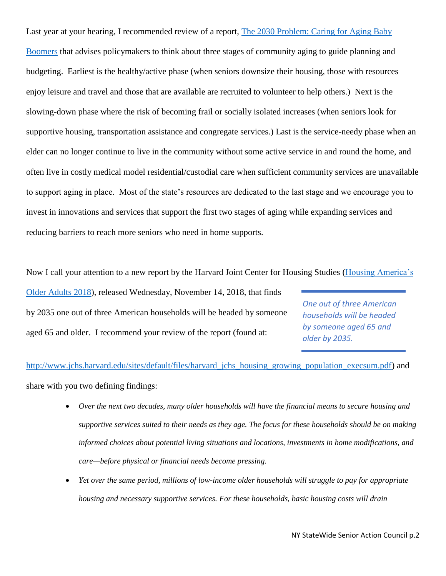Last year at your hearing, I recommended review of a report, [The 2030 Problem: Caring for Aging Baby](https://www.ncbi.nlm.nih.gov/pmc/articles/PMC1464018/)  [Boomers](https://www.ncbi.nlm.nih.gov/pmc/articles/PMC1464018/) that advises policymakers to think about three stages of community aging to guide planning and budgeting. Earliest is the healthy/active phase (when seniors downsize their housing, those with resources enjoy leisure and travel and those that are available are recruited to volunteer to help others.) Next is the slowing-down phase where the risk of becoming frail or socially isolated increases (when seniors look for supportive housing, transportation assistance and congregate services.) Last is the service-needy phase when an elder can no longer continue to live in the community without some active service in and round the home, and often live in costly medical model residential/custodial care when sufficient community services are unavailable to support aging in place. Most of the state's resources are dedicated to the last stage and we encourage you to invest in innovations and services that support the first two stages of aging while expanding services and reducing barriers to reach more seniors who need in home supports.

Now I call your attention to a new report by the Harvard Joint Center for Housing Studies (Housing America's

[Older Adults 2018\)](http://www.jchs.harvard.edu/sites/default/files/harvard_jchs_housing_growing_population_execsum.pdf), released Wednesday, November 14, 2018, that finds by 2035 one out of three American households will be headed by someone aged 65 and older. I recommend your review of the report (found at:

*One out of three American households will be headed by someone aged 65 and older by 2035.* 

[http://www.jchs.harvard.edu/sites/default/files/harvard\\_jchs\\_housing\\_growing\\_population\\_execsum.pdf\)](http://www.jchs.harvard.edu/sites/default/files/harvard_jchs_housing_growing_population_execsum.pdf) and share with you two defining findings:

- *Over the next two decades, many older households will have the financial means to secure housing and supportive services suited to their needs as they age. The focus for these households should be on making informed choices about potential living situations and locations, investments in home modifications, and care—before physical or financial needs become pressing.*
- *Yet over the same period, millions of low-income older households will struggle to pay for appropriate housing and necessary supportive services. For these households, basic housing costs will drain*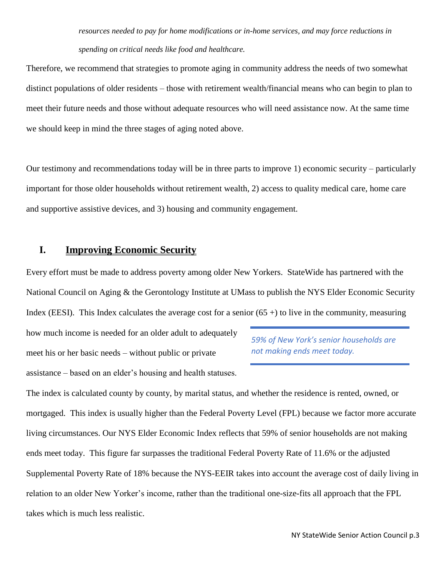## *resources needed to pay for home modifications or in-home services, and may force reductions in spending on critical needs like food and healthcare.*

Therefore, we recommend that strategies to promote aging in community address the needs of two somewhat distinct populations of older residents – those with retirement wealth/financial means who can begin to plan to meet their future needs and those without adequate resources who will need assistance now. At the same time we should keep in mind the three stages of aging noted above.

Our testimony and recommendations today will be in three parts to improve 1) economic security – particularly important for those older households without retirement wealth, 2) access to quality medical care, home care and supportive assistive devices, and 3) housing and community engagement.

### **I. Improving Economic Security**

Every effort must be made to address poverty among older New Yorkers. StateWide has partnered with the National Council on Aging & the Gerontology Institute at UMass to publish the NYS Elder Economic Security Index (EESI). This Index calculates the average cost for a senior  $(65 +)$  to live in the community, measuring

how much income is needed for an older adult to adequately meet his or her basic needs – without public or private assistance – based on an elder's housing and health statuses.

*59% of New York's senior households are not making ends meet today.* 

The index is calculated county by county, by marital status, and whether the residence is rented, owned, or mortgaged. This index is usually higher than the Federal Poverty Level (FPL) because we factor more accurate living circumstances. Our NYS Elder Economic Index reflects that 59% of senior households are not making ends meet today. This figure far surpasses the traditional Federal Poverty Rate of 11.6% or the adjusted Supplemental Poverty Rate of 18% because the NYS-EEIR takes into account the average cost of daily living in relation to an older New Yorker's income, rather than the traditional one-size-fits all approach that the FPL takes which is much less realistic.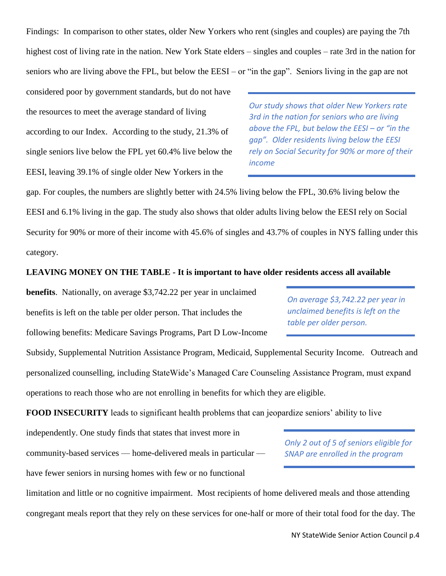Findings: In comparison to other states, older New Yorkers who rent (singles and couples) are paying the 7th highest cost of living rate in the nation. New York State elders – singles and couples – rate 3rd in the nation for seniors who are living above the FPL, but below the EESI – or "in the gap". Seniors living in the gap are not

considered poor by government standards, but do not have the resources to meet the average standard of living according to our Index. According to the study, 21.3% of single seniors live below the FPL yet 60.4% live below the EESI, leaving 39.1% of single older New Yorkers in the

*Our study shows that older New Yorkers rate 3rd in the nation for seniors who are living above the FPL, but below the EESI – or "in the gap". Older residents living below the EESI rely on Social Security for 90% or more of their income*

gap. For couples, the numbers are slightly better with 24.5% living below the FPL, 30.6% living below the EESI and 6.1% living in the gap. The study also shows that older adults living below the EESI rely on Social Security for 90% or more of their income with 45.6% of singles and 43.7% of couples in NYS falling under this category.

#### **LEAVING MONEY ON THE TABLE - It is important to have older residents access all available**

**benefits**. Nationally, on average \$3,742.22 per year in unclaimed benefits is left on the table per older person. That includes the following benefits: Medicare Savings Programs, Part D Low-Income

*On average \$3,742.22 per year in unclaimed benefits is left on the table per older person.*

Subsidy, Supplemental Nutrition Assistance Program, Medicaid, Supplemental Security Income. Outreach and personalized counselling, including StateWide's Managed Care Counseling Assistance Program, must expand operations to reach those who are not enrolling in benefits for which they are eligible.

**FOOD INSECURITY** leads to significant health problems that can jeopardize seniors' ability to live

independently. One study finds that states that invest more in

community-based services — home-delivered meals in particular have fewer seniors in nursing homes with few or no functional

limitation and little or no cognitive impairment. Most recipients of home delivered meals and those attending congregant meals report that they rely on these services for one-half or more of their total food for the day. The

*Only 2 out of 5 of seniors eligible for SNAP are enrolled in the program*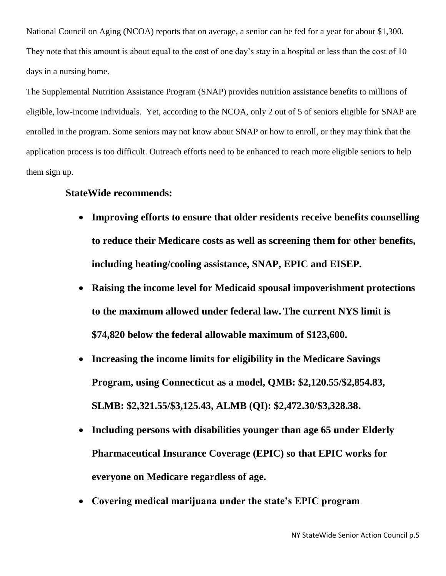National Council on Aging (NCOA) reports that on average, a senior can be fed for a year for about \$1,300. They note that this amount is about equal to the cost of one day's stay in a hospital or less than the cost of 10 days in a nursing home.

The Supplemental Nutrition Assistance Program (SNAP) provides nutrition assistance benefits to millions of eligible, low-income individuals. Yet, according to the NCOA, only 2 out of 5 of seniors eligible for SNAP are enrolled in the program. Some seniors may not know about SNAP or how to enroll, or they may think that the application process is too difficult. Outreach efforts need to be enhanced to reach more eligible seniors to help them sign up.

### **StateWide recommends:**

- **Improving efforts to ensure that older residents receive benefits counselling to reduce their Medicare costs as well as screening them for other benefits, including heating/cooling assistance, SNAP, EPIC and EISEP.**
- **Raising the income level for Medicaid spousal impoverishment protections to the maximum allowed under federal law. The current NYS limit is \$74,820 below the federal allowable maximum of \$123,600.**
- **Increasing the income limits for eligibility in the Medicare Savings Program, using Connecticut as a model, QMB: \$2,120.55/\$2,854.83, SLMB: \$2,321.55/\$3,125.43, ALMB (QI): \$2,472.30/\$3,328.38.**
- **Including persons with disabilities younger than age 65 under Elderly Pharmaceutical Insurance Coverage (EPIC) so that EPIC works for everyone on Medicare regardless of age.**
- **Covering medical marijuana under the state's EPIC program.**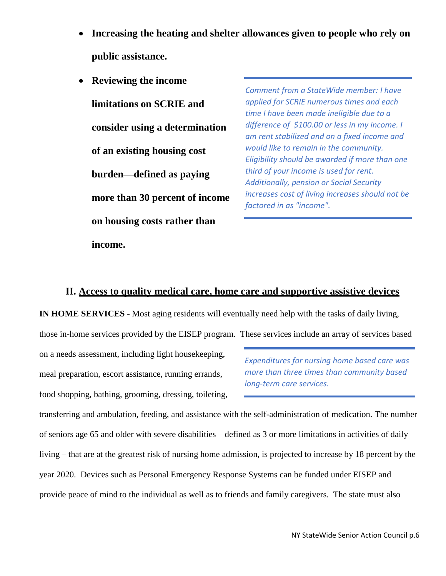- **Increasing the heating and shelter allowances given to people who rely on public assistance.**
- **Reviewing the income limitations on SCRIE and consider using a determination of an existing housing cost burden—defined as paying more than 30 percent of income on housing costs rather than income.**

*Comment from a StateWide member: I have applied for SCRIE numerous times and each time I have been made ineligible due to a difference of \$100.00 or less in my income. I am rent stabilized and on a fixed income and would like to remain in the community. Eligibility should be awarded if more than one third of your income is used for rent. Additionally, pension or Social Security increases cost of living increases should not be factored in as "income".*

### **II. Access to quality medical care, home care and supportive assistive devices**

**IN HOME SERVICES** - Most aging residents will eventually need help with the tasks of daily living,

those in-home services provided by the EISEP program. These services include an array of services based

on a needs assessment, including light housekeeping, meal preparation, escort assistance, running errands, food shopping, bathing, grooming, dressing, toileting,

*Expenditures for nursing home based care was more than three times than community based long-term care services.*

transferring and ambulation, feeding, and assistance with the self-administration of medication. The number of seniors age 65 and older with severe disabilities – defined as 3 or more limitations in activities of daily living – that are at the greatest risk of nursing home admission, is projected to increase by 18 percent by the year 2020. Devices such as Personal Emergency Response Systems can be funded under EISEP and provide peace of mind to the individual as well as to friends and family caregivers. The state must also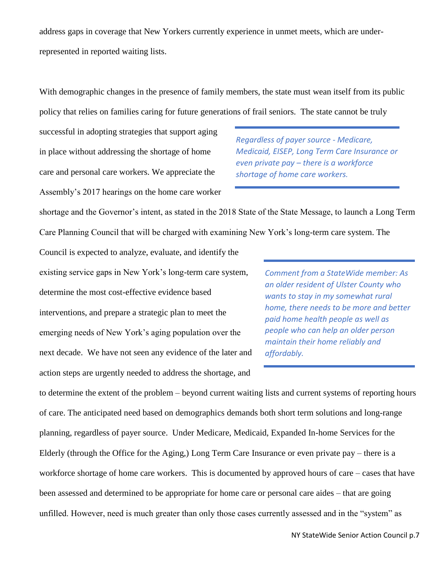address gaps in coverage that New Yorkers currently experience in unmet meets, which are underrepresented in reported waiting lists.

With demographic changes in the presence of family members, the state must wean itself from its public policy that relies on families caring for future generations of frail seniors. The state cannot be truly

successful in adopting strategies that support aging in place without addressing the shortage of home care and personal care workers. We appreciate the Assembly's 2017 hearings on the home care worker

*Regardless of payer source - Medicare, Medicaid, EISEP, Long Term Care Insurance or even private pay – there is a workforce shortage of home care workers.*

shortage and the Governor's intent, as stated in the 2018 State of the State Message, to launch a Long Term Care Planning Council that will be charged with examining New York's long-term care system. The

Council is expected to analyze, evaluate, and identify the existing service gaps in New York's long-term care system, determine the most cost-effective evidence based interventions, and prepare a strategic plan to meet the emerging needs of New York's aging population over the next decade. We have not seen any evidence of the later and action steps are urgently needed to address the shortage, and

*Comment from a StateWide member: As an older resident of Ulster County who wants to stay in my somewhat rural home, there needs to be more and better paid home health people as well as people who can help an older person maintain their home reliably and affordably.*

to determine the extent of the problem – beyond current waiting lists and current systems of reporting hours of care. The anticipated need based on demographics demands both short term solutions and long-range planning, regardless of payer source. Under Medicare, Medicaid, Expanded In-home Services for the Elderly (through the Office for the Aging,) Long Term Care Insurance or even private pay – there is a workforce shortage of home care workers. This is documented by approved hours of care – cases that have been assessed and determined to be appropriate for home care or personal care aides – that are going unfilled. However, need is much greater than only those cases currently assessed and in the "system" as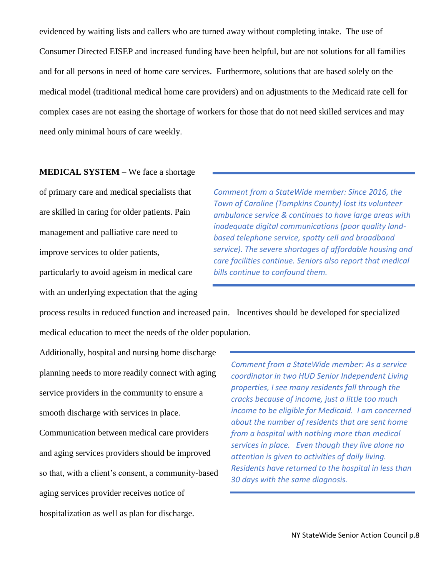evidenced by waiting lists and callers who are turned away without completing intake. The use of Consumer Directed EISEP and increased funding have been helpful, but are not solutions for all families and for all persons in need of home care services. Furthermore, solutions that are based solely on the medical model (traditional medical home care providers) and on adjustments to the Medicaid rate cell for complex cases are not easing the shortage of workers for those that do not need skilled services and may need only minimal hours of care weekly.

**MEDICAL SYSTEM** – We face a shortage of primary care and medical specialists that are skilled in caring for older patients. Pain management and palliative care need to improve services to older patients, particularly to avoid ageism in medical care with an underlying expectation that the aging

*Comment from a StateWide member: Since 2016, the Town of Caroline (Tompkins County) lost its volunteer ambulance service & continues to have large areas with inadequate digital communications (poor quality landbased telephone service, spotty cell and broadband service). The severe shortages of affordable housing and care facilities continue. Seniors also report that medical bills continue to confound them.*

process results in reduced function and increased pain. Incentives should be developed for specialized medical education to meet the needs of the older population.

Additionally, hospital and nursing home discharge planning needs to more readily connect with aging service providers in the community to ensure a smooth discharge with services in place.

Communication between medical care providers and aging services providers should be improved so that, with a client's consent, a community-based aging services provider receives notice of hospitalization as well as plan for discharge.

*Comment from a StateWide member: As a service coordinator in two HUD Senior Independent Living properties, I see many residents fall through the cracks because of income, just a little too much income to be eligible for Medicaid. I am concerned about the number of residents that are sent home from a hospital with nothing more than medical services in place. Even though they live alone no attention is given to activities of daily living. Residents have returned to the hospital in less than 30 days with the same diagnosis.*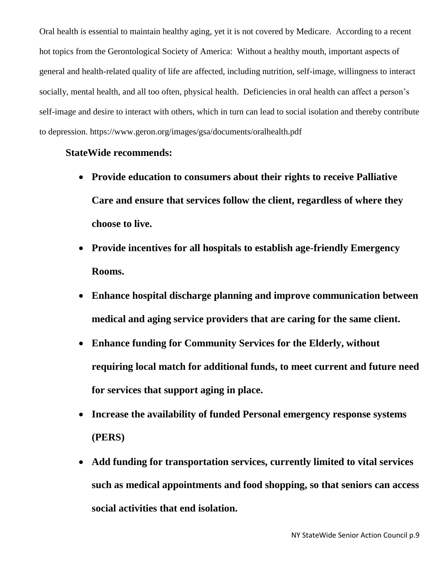Oral health is essential to maintain healthy aging, yet it is not covered by Medicare. According to a recent hot topics from the Gerontological Society of America: Without a healthy mouth, important aspects of general and health-related quality of life are affected, including nutrition, self-image, willingness to interact socially, mental health, and all too often, physical health. Deficiencies in oral health can affect a person's self-image and desire to interact with others, which in turn can lead to social isolation and thereby contribute to depression. https://www.geron.org/images/gsa/documents/oralhealth.pdf

#### **StateWide recommends:**

- **Provide education to consumers about their rights to receive Palliative Care and ensure that services follow the client, regardless of where they choose to live.**
- **Provide incentives for all hospitals to establish age-friendly Emergency Rooms.**
- **Enhance hospital discharge planning and improve communication between medical and aging service providers that are caring for the same client.**
- **Enhance funding for Community Services for the Elderly, without requiring local match for additional funds, to meet current and future need for services that support aging in place.**
- **Increase the availability of funded Personal emergency response systems (PERS)**
- **Add funding for transportation services, currently limited to vital services such as medical appointments and food shopping, so that seniors can access social activities that end isolation.**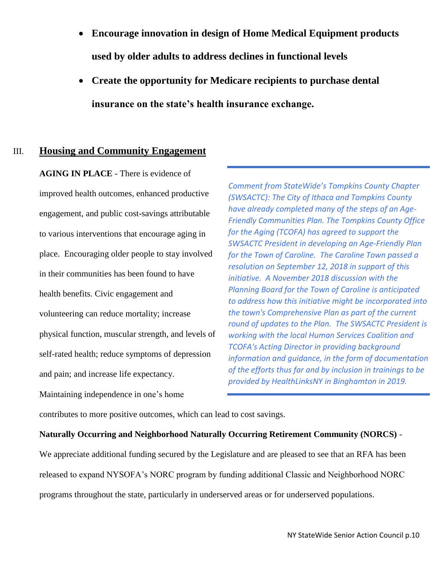- **Encourage innovation in design of Home Medical Equipment products used by older adults to address declines in functional levels**
- **Create the opportunity for Medicare recipients to purchase dental insurance on the state's health insurance exchange.**

### III. **Housing and Community Engagement**

**AGING IN PLACE** - There is evidence of improved health outcomes, enhanced productive engagement, and public cost-savings attributable to various interventions that encourage aging in place. Encouraging older people to stay involved in their communities has been found to have health benefits. Civic engagement and volunteering can reduce mortality; increase physical function, muscular strength, and levels of self-rated health; reduce symptoms of depression and pain; and increase life expectancy. Maintaining independence in one's home

*Comment from StateWide's Tompkins County Chapter (SWSACTC): The City of Ithaca and Tompkins County have already completed many of the steps of an Age-Friendly Communities Plan. The Tompkins County Office for the Aging (TCOFA) has agreed to support the SWSACTC President in developing an Age-Friendly Plan for the Town of Caroline. The Caroline Town passed a resolution on September 12, 2018 in support of this initiative. A November 2018 discussion with the Planning Board for the Town of Caroline is anticipated to address how this initiative might be incorporated into the town's Comprehensive Plan as part of the current round of updates to the Plan. The SWSACTC President is working with the local Human Services Coalition and TCOFA's Acting Director in providing background information and guidance, in the form of documentation of the efforts thus far and by inclusion in trainings to be provided by HealthLinksNY in Binghamton in 2019.*

contributes to more positive outcomes, which can lead to cost savings.

#### **Naturally Occurring and Neighborhood Naturally Occurring Retirement Community (NORCS)** -

We appreciate additional funding secured by the Legislature and are pleased to see that an RFA has been released to expand NYSOFA's NORC program by funding additional Classic and Neighborhood NORC programs throughout the state, particularly in underserved areas or for underserved populations.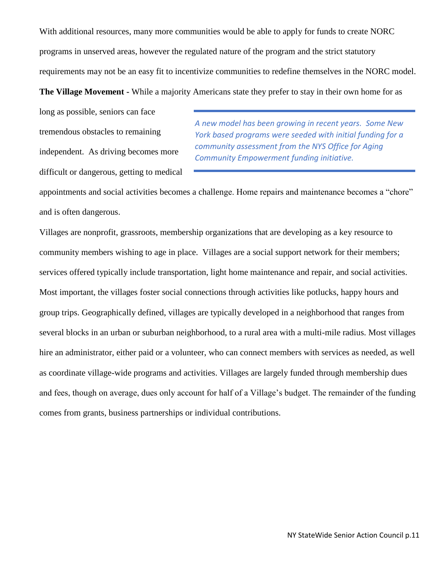With additional resources, many more communities would be able to apply for funds to create NORC programs in unserved areas, however the regulated nature of the program and the strict statutory requirements may not be an easy fit to incentivize communities to redefine themselves in the NORC model.

**The Village Movement -** While a majority Americans state they prefer to stay in their own home for as

long as possible, seniors can face tremendous obstacles to remaining independent. As driving becomes more difficult or dangerous, getting to medical

*A new model has been growing in recent years. Some New York based programs were seeded with initial funding for a community assessment from the NYS Office for Aging Community Empowerment funding initiative.*

appointments and social activities becomes a challenge. Home repairs and maintenance becomes a "chore" and is often dangerous.

Villages are nonprofit, grassroots, membership organizations that are developing as a key resource to community members wishing to age in place. Villages are a social support network for their members; services offered typically include transportation, light home maintenance and repair, and social activities. Most important, the villages foster social connections through activities like potlucks, happy hours and group trips. Geographically defined, villages are typically developed in a neighborhood that ranges from several blocks in an urban or suburban neighborhood, to a rural area with a multi-mile radius. Most villages hire an administrator, either paid or a volunteer, who can connect members with services as needed, as well as coordinate village-wide programs and activities. Villages are largely funded through membership dues and fees, though on average, dues only account for half of a Village's budget. The remainder of the funding comes from grants, business partnerships or individual contributions.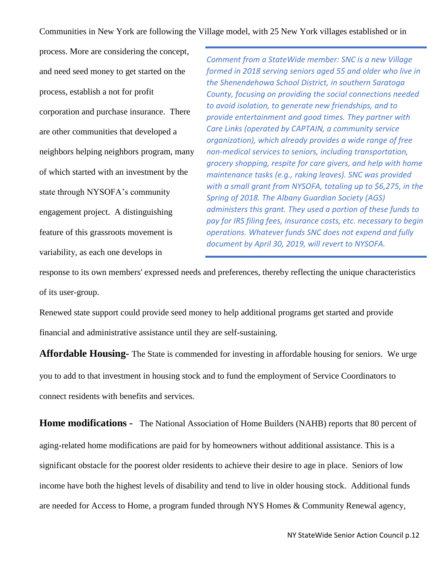Communities in New York are following the Village model, with 25 New York villages established or in

process. More are considering the concept, and need seed money to get started on the process, establish a not for profit corporation and purchase insurance. There are other communities that developed a neighbors helping neighbors program, many of which started with an investment by the state through NYSOFA's community engagement project. A distinguishing feature of this grassroots movement is variability, as each one develops in

*Comment from a StateWide member: SNC is a new Village formed in 2018 serving seniors aged 55 and older who live in the Shenendehowa School District, in southern Saratoga County, focusing on providing the social connections needed to avoid isolation, to generate new friendships, and to provide entertainment and good times. They partner with Care Links (operated by CAPTAIN, a community service organization), which already provides a wide range of free non-medical services to seniors, including transportation, grocery shopping, respite for care givers, and help with home maintenance tasks (e.g., raking leaves). SNC was provided with a small grant from NYSOFA, totaling up to \$6,275, in the Spring of 2018. The Albany Guardian Society (AGS) administers this grant. They used a portion of these funds to pay for IRS filing fees, insurance costs, etc. necessary to begin operations. Whatever funds SNC does not expend and fully document by April 30, 2019, will revert to NYSOFA.*

response to its own members' expressed needs and preferences, thereby reflecting the unique characteristics of its user-group.

Renewed state support could provide seed money to help additional programs get started and provide financial and administrative assistance until they are self-sustaining.

**Affordable Housing-** The State is commended for investing in affordable housing for seniors. We urge you to add to that investment in housing stock and to fund the employment of Service Coordinators to connect residents with benefits and services.

**Home modifications -** The National Association of Home Builders (NAHB) reports that 80 percent of aging-related home modifications are paid for by homeowners without additional assistance. This is a significant obstacle for the poorest older residents to achieve their desire to age in place. Seniors of low income have both the highest levels of disability and tend to live in older housing stock. Additional funds are needed for Access to Home, a program funded through NYS Homes & Community Renewal agency,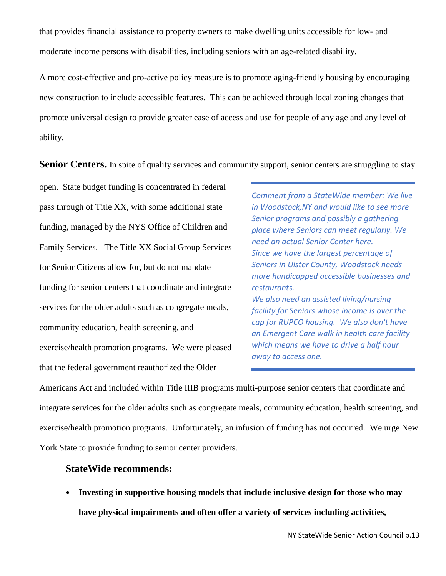that provides financial assistance to property owners to make dwelling units accessible for low- and moderate income persons with disabilities, including seniors with an age-related disability.

A more cost-effective and pro-active policy measure is to promote aging-friendly housing by encouraging new construction to include accessible features. This can be achieved through local zoning changes that promote universal design to provide greater ease of access and use for people of any age and any level of ability.

**Senior Centers.** In spite of quality services and community support, senior centers are struggling to stay

open. State budget funding is concentrated in federal pass through of Title XX, with some additional state funding, managed by the NYS Office of Children and Family Services. The Title XX Social Group Services for Senior Citizens allow for, but do not mandate funding for senior centers that coordinate and integrate services for the older adults such as congregate meals, community education, health screening, and exercise/health promotion programs. We were pleased that the federal government reauthorized the Older

*Comment from a StateWide member: We live in Woodstock,NY and would like to see more Senior programs and possibly a gathering place where Seniors can meet regularly. We need an actual Senior Center here. Since we have the largest percentage of Seniors in Ulster County, Woodstock needs more handicapped accessible businesses and restaurants. We also need an assisted living/nursing facility for Seniors whose income is over the cap for RUPCO housing. We also don't have an Emergent Care walk in health care facility which means we have to drive a half hour away to access one.*

Americans Act and included within Title IIIB programs multi-purpose senior centers that coordinate and integrate services for the older adults such as congregate meals, community education, health screening, and exercise/health promotion programs. Unfortunately, an infusion of funding has not occurred. We urge New York State to provide funding to senior center providers.

#### **StateWide recommends:**

• **Investing in supportive housing models that include inclusive design for those who may have physical impairments and often offer a variety of services including activities,**